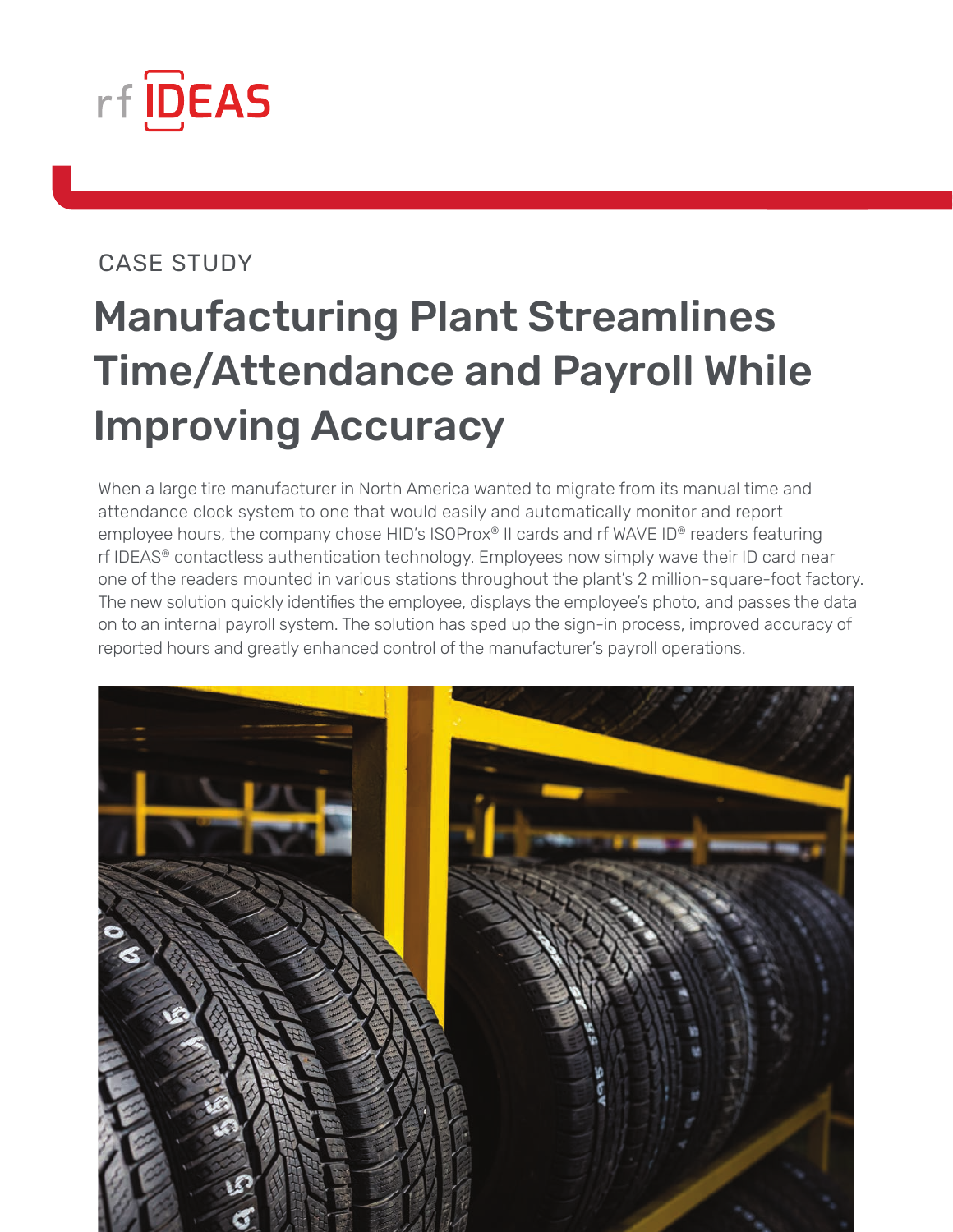

#### CASE STUDY

## Manufacturing Plant Streamlines Time/Attendance and Payroll While Improving Accuracy

When a large tire manufacturer in North America wanted to migrate from its manual time and attendance clock system to one that would easily and automatically monitor and report employee hours, the company chose HID's ISOProx® II cards and rf WAVE ID® readers featuring rf IDEAS® contactless authentication technology. Employees now simply wave their ID card near one of the readers mounted in various stations throughout the plant's 2 million-square-foot factory. The new solution quickly identifies the employee, displays the employee's photo, and passes the data on to an internal payroll system. The solution has sped up the sign-in process, improved accuracy of reported hours and greatly enhanced control of the manufacturer's payroll operations.

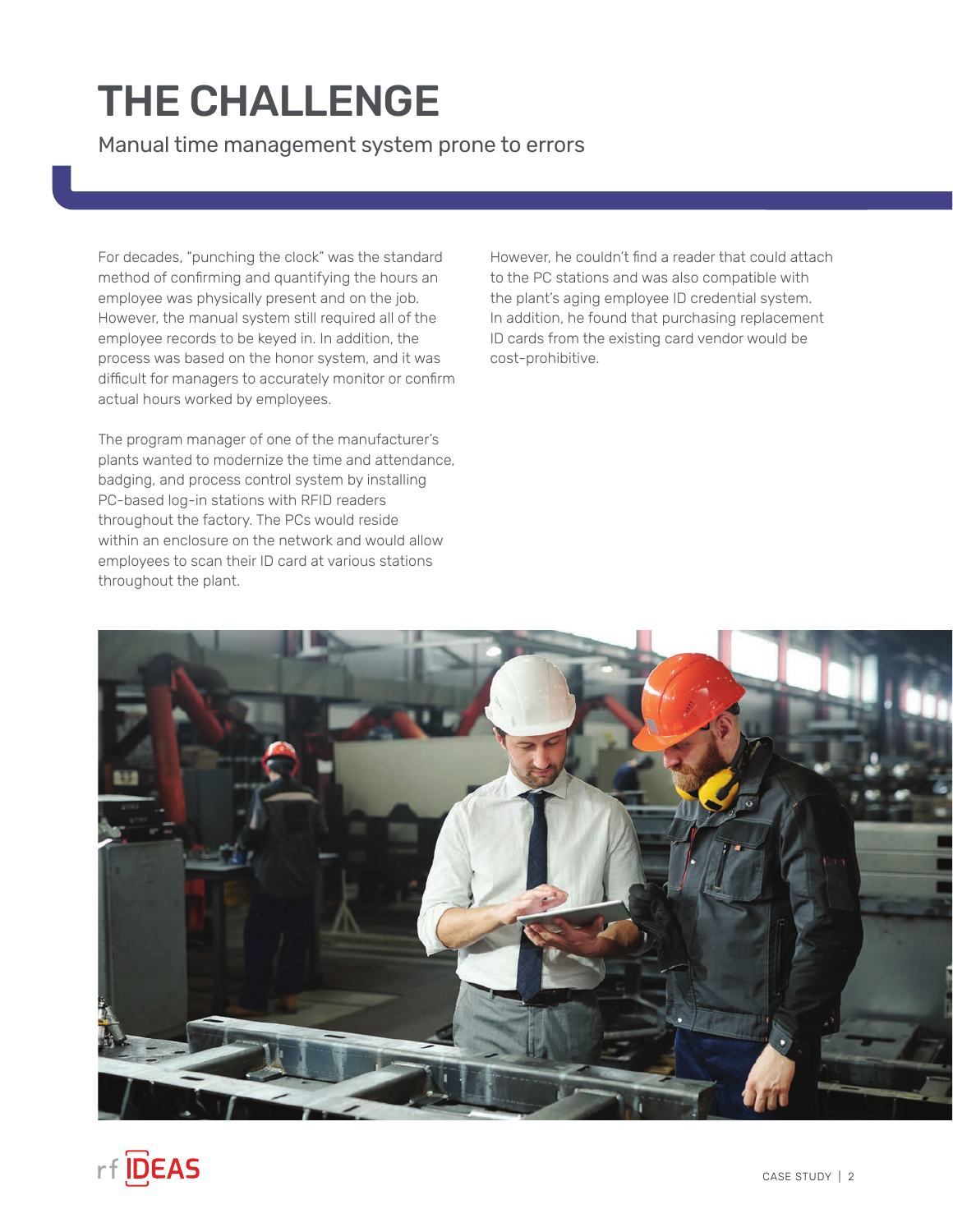### THE CHALLENGE

Manual time management system prone to errors

For decades, "punching the clock" was the standard method of confirming and quantifying the hours an employee was physically present and on the job. However, the manual system still required all of the employee records to be keyed in. In addition, the process was based on the honor system, and it was difficult for managers to accurately monitor or confirm actual hours worked by employees.

The program manager of one of the manufacturer's plants wanted to modernize the time and attendance, badging, and process control system by installing PC-based log-in stations with RFID readers throughout the factory. The PCs would reside within an enclosure on the network and would allow employees to scan their ID card at various stations throughout the plant.

However, he couldn't find a reader that could attach to the PC stations and was also compatible with the plant's aging employee ID credential system. In addition, he found that purchasing replacement ID cards from the existing card vendor would be cost-prohibitive.

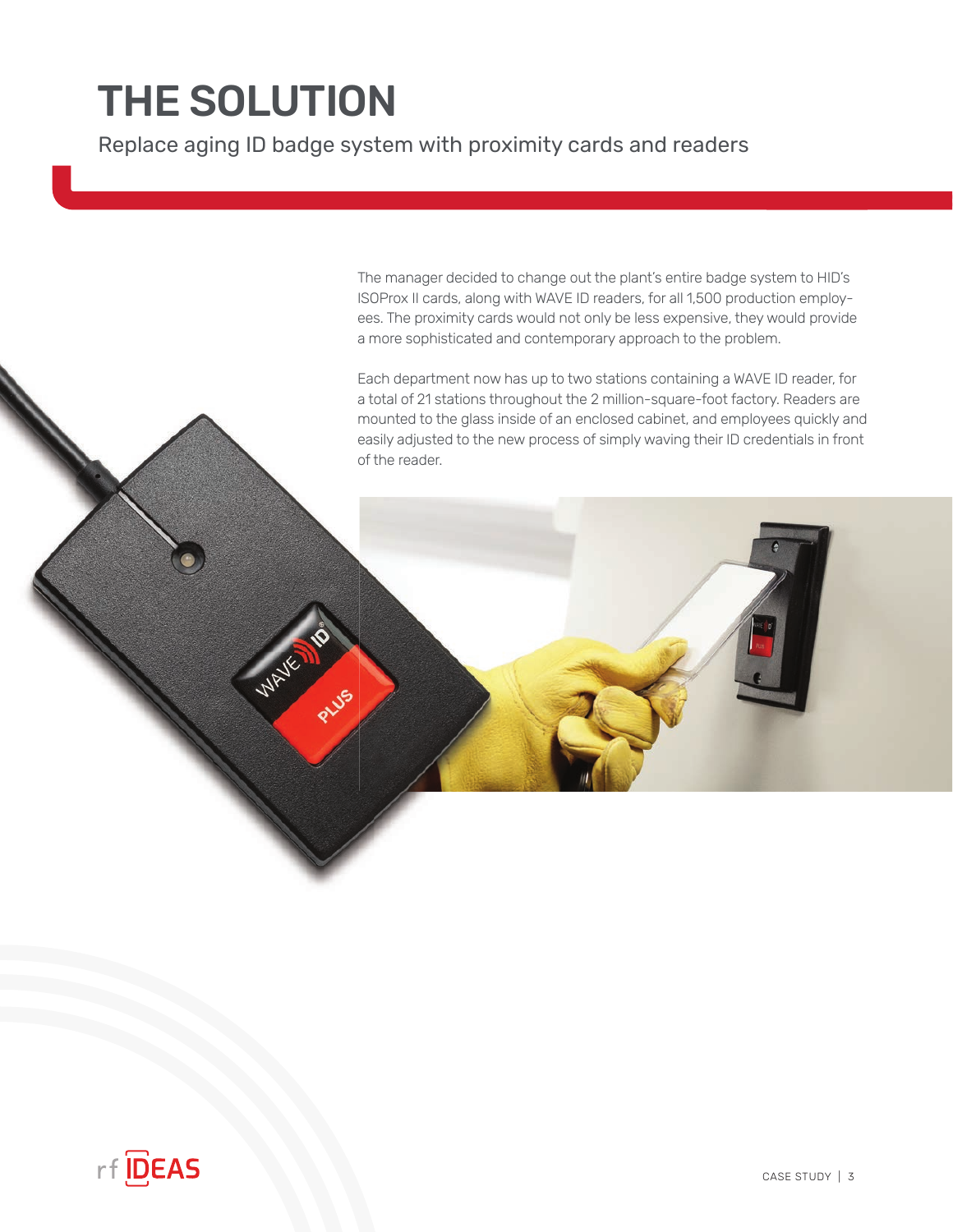# THE SOLUTION

 $\widetilde{\mathscr{U}}_n$ 

Replace aging ID badge system with proximity cards and readers

The manager decided to change out the plant's entire badge system to HID's ISOProx II cards, along with WAVE ID readers, for all 1,500 production employees. The proximity cards would not only be less expensive, they would provide a more sophisticated and contemporary approach to the problem.

Each department now has up to two stations containing a WAVE ID reader, for a total of 21 stations throughout the 2 million-square-foot factory. Readers are mounted to the glass inside of an enclosed cabinet, and employees quickly and easily adjusted to the new process of simply waving their ID credentials in front of the reader.

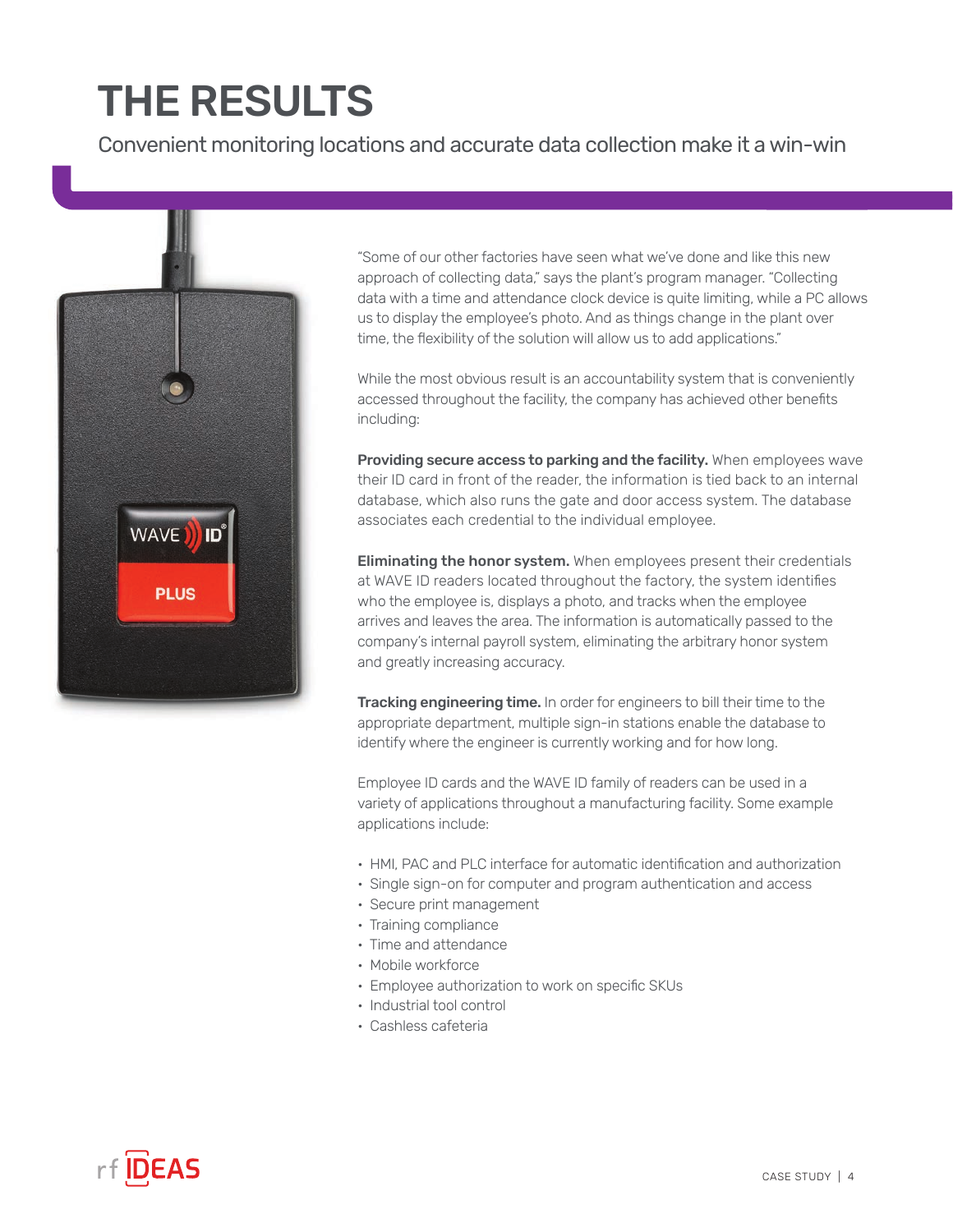## THE RESULTS

Convenient monitoring locations and accurate data collection make it a win-win



"Some of our other factories have seen what we've done and like this new approach of collecting data," says the plant's program manager. "Collecting data with a time and attendance clock device is quite limiting, while a PC allows us to display the employee's photo. And as things change in the plant over time, the flexibility of the solution will allow us to add applications."

While the most obvious result is an accountability system that is conveniently accessed throughout the facility, the company has achieved other benefits including:

Providing secure access to parking and the facility. When employees wave their ID card in front of the reader, the information is tied back to an internal database, which also runs the gate and door access system. The database associates each credential to the individual employee.

**Eliminating the honor system.** When employees present their credentials at WAVE ID readers located throughout the factory, the system identifies who the employee is, displays a photo, and tracks when the employee arrives and leaves the area. The information is automatically passed to the company's internal payroll system, eliminating the arbitrary honor system and greatly increasing accuracy.

Tracking engineering time. In order for engineers to bill their time to the appropriate department, multiple sign-in stations enable the database to identify where the engineer is currently working and for how long.

Employee ID cards and the WAVE ID family of readers can be used in a variety of applications throughout a manufacturing facility. Some example applications include:

- HMI, PAC and PLC interface for automatic identification and authorization
- Single sign-on for computer and program authentication and access
- Secure print management
- Training compliance
- Time and attendance
- Mobile workforce
- Employee authorization to work on specific SKUs
- Industrial tool control
- Cashless cafeteria